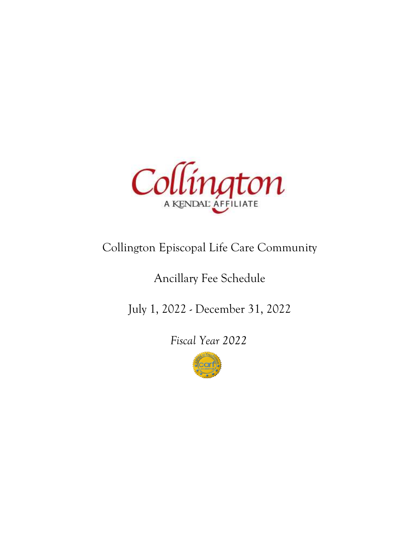

## Collington Episcopal Life Care Community

## Ancillary Fee Schedule

July 1, 2022 - December 31, 2022

Fiscal Year 2022

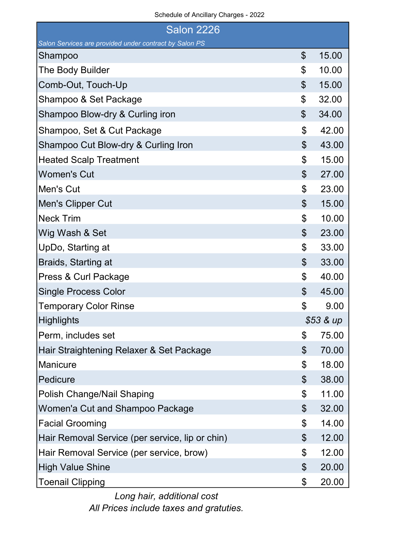## Schedule of Ancillary Charges - 2022

| <b>Salon 2226</b>                                      |                |           |  |
|--------------------------------------------------------|----------------|-----------|--|
| Salon Services are provided under contract by Salon PS |                |           |  |
| Shampoo                                                | \$             | 15.00     |  |
| The Body Builder                                       | \$             | 10.00     |  |
| Comb-Out, Touch-Up                                     | \$             | 15.00     |  |
| Shampoo & Set Package                                  | \$             | 32.00     |  |
| Shampoo Blow-dry & Curling iron                        | \$             | 34.00     |  |
| Shampoo, Set & Cut Package                             | \$             | 42.00     |  |
| Shampoo Cut Blow-dry & Curling Iron                    | \$             | 43.00     |  |
| <b>Heated Scalp Treatment</b>                          | \$             | 15.00     |  |
| <b>Women's Cut</b>                                     | $\mathfrak{L}$ | 27.00     |  |
| Men's Cut                                              | \$             | 23.00     |  |
| Men's Clipper Cut                                      | $\mathfrak{L}$ | 15.00     |  |
| <b>Neck Trim</b>                                       | \$             | 10.00     |  |
| Wig Wash & Set                                         | $\mathfrak{L}$ | 23.00     |  |
| UpDo, Starting at                                      | \$             | 33.00     |  |
| Braids, Starting at                                    | \$             | 33.00     |  |
| Press & Curl Package                                   | \$             | 40.00     |  |
| <b>Single Process Color</b>                            | $\mathfrak{L}$ | 45.00     |  |
| <b>Temporary Color Rinse</b>                           | \$             | 9.00      |  |
| <b>Highlights</b>                                      |                | \$53 & up |  |
| Perm, includes set                                     | \$             | 75.00     |  |
| Hair Straightening Relaxer & Set Package               | \$             | 70.00     |  |
| Manicure                                               | \$             | 18.00     |  |
| Pedicure                                               | \$             | 38.00     |  |
| Polish Change/Nail Shaping                             | \$             | 11.00     |  |
| Women'a Cut and Shampoo Package                        | \$             | 32.00     |  |
| <b>Facial Grooming</b>                                 | \$             | 14.00     |  |
| Hair Removal Service (per service, lip or chin)        | \$             | 12.00     |  |
| Hair Removal Service (per service, brow)               | \$             | 12.00     |  |
| <b>High Value Shine</b>                                | \$             | 20.00     |  |
| <b>Toenail Clipping</b>                                | \$             | 20.00     |  |

Long hair, additional cost All Prices include taxes and gratuties.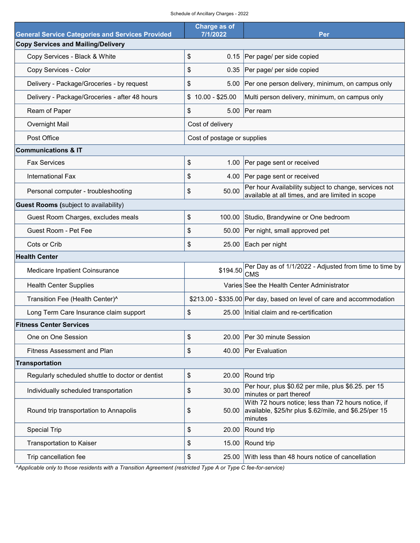| Schedule of Ancillary Charges - 2022 |  |  |
|--------------------------------------|--|--|

| <b>General Service Categories and Services Provided</b> | Charge as of<br>7/1/2022    | Per                                                                                                                     |  |  |  |  |
|---------------------------------------------------------|-----------------------------|-------------------------------------------------------------------------------------------------------------------------|--|--|--|--|
| <b>Copy Services and Mailing/Delivery</b>               |                             |                                                                                                                         |  |  |  |  |
| Copy Services - Black & White                           | \$                          | 0.15 Per page/ per side copied                                                                                          |  |  |  |  |
| Copy Services - Color                                   | \$                          | 0.35 Per page/ per side copied                                                                                          |  |  |  |  |
| Delivery - Package/Groceries - by request               | \$                          | 5.00 Per one person delivery, minimum, on campus only                                                                   |  |  |  |  |
| Delivery - Package/Groceries - after 48 hours           | $$10.00 - $25.00$           | Multi person delivery, minimum, on campus only                                                                          |  |  |  |  |
| Ream of Paper                                           | \$                          | 5.00 Per ream                                                                                                           |  |  |  |  |
| Overnight Mail                                          | Cost of delivery            |                                                                                                                         |  |  |  |  |
| Post Office                                             | Cost of postage or supplies |                                                                                                                         |  |  |  |  |
| <b>Communications &amp; IT</b>                          |                             |                                                                                                                         |  |  |  |  |
| <b>Fax Services</b>                                     | \$                          | 1.00 Per page sent or received                                                                                          |  |  |  |  |
| International Fax                                       | \$                          | 4.00 Per page sent or received                                                                                          |  |  |  |  |
| Personal computer - troubleshooting                     | \$<br>50.00                 | Per hour Availability subject to change, services not<br>available at all times, and are limited in scope               |  |  |  |  |
| <b>Guest Rooms</b> (subject to availability)            |                             |                                                                                                                         |  |  |  |  |
| Guest Room Charges, excludes meals                      | \$                          | 100.00 Studio, Brandywine or One bedroom                                                                                |  |  |  |  |
| Guest Room - Pet Fee                                    | \$                          | 50.00 Per night, small approved pet                                                                                     |  |  |  |  |
| Cots or Crib                                            | \$                          | 25.00 Each per night                                                                                                    |  |  |  |  |
| <b>Health Center</b>                                    |                             |                                                                                                                         |  |  |  |  |
| Medicare Inpatient Coinsurance                          | \$194.50                    | Per Day as of 1/1/2022 - Adjusted from time to time by<br><b>CMS</b>                                                    |  |  |  |  |
| <b>Health Center Supplies</b>                           |                             | Varies See the Health Center Administrator                                                                              |  |  |  |  |
| Transition Fee (Health Center)^                         |                             | \$213.00 - \$335.00 Per day, based on level of care and accommodation                                                   |  |  |  |  |
| Long Term Care Insurance claim support                  | \$                          | 25.00   Initial claim and re-certification                                                                              |  |  |  |  |
| <b>Fitness Center Services</b>                          |                             |                                                                                                                         |  |  |  |  |
| One on One Session                                      | \$<br>20.00                 | Per 30 minute Session                                                                                                   |  |  |  |  |
| <b>Fitness Assessment and Plan</b>                      | \$                          | 40.00 Per Evaluation                                                                                                    |  |  |  |  |
| Transportation                                          |                             |                                                                                                                         |  |  |  |  |
| Regularly scheduled shuttle to doctor or dentist        | \$<br>20.00                 | Round trip                                                                                                              |  |  |  |  |
| Individually scheduled transportation                   | \$<br>30.00                 | Per hour, plus \$0.62 per mile, plus \$6.25. per 15<br>minutes or part thereof                                          |  |  |  |  |
| Round trip transportation to Annapolis                  | \$<br>50.00                 | With 72 hours notice; less than 72 hours notice, if<br>available, \$25/hr plus \$.62/mile, and \$6.25/per 15<br>minutes |  |  |  |  |
| <b>Special Trip</b>                                     | \$<br>20.00                 | Round trip                                                                                                              |  |  |  |  |
| <b>Transportation to Kaiser</b>                         | \$<br>15.00                 | Round trip                                                                                                              |  |  |  |  |
| Trip cancellation fee                                   | \$<br>25.00                 | With less than 48 hours notice of cancellation                                                                          |  |  |  |  |

^Applicable only to those residents with a Transition Agreement (restricted Type A or Type C fee-for-service)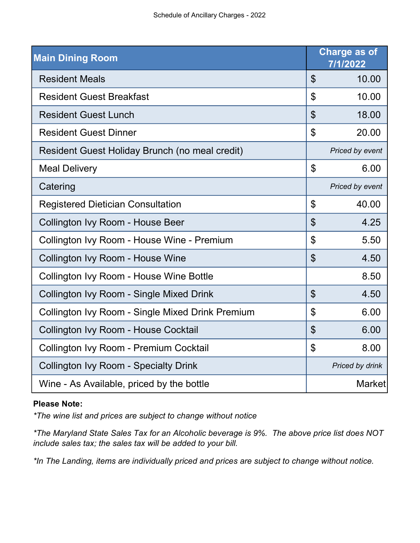| <b>Main Dining Room</b>                                 |                           | Charge as of<br>7/1/2022 |
|---------------------------------------------------------|---------------------------|--------------------------|
| <b>Resident Meals</b>                                   | $\boldsymbol{\mathsf{S}}$ | 10.00                    |
| <b>Resident Guest Breakfast</b>                         | $\mathfrak{P}$            | 10.00                    |
| <b>Resident Guest Lunch</b>                             | $\mathfrak{S}$            | 18.00                    |
| <b>Resident Guest Dinner</b>                            | $\mathfrak{S}$            | 20.00                    |
| Resident Guest Holiday Brunch (no meal credit)          |                           | Priced by event          |
| <b>Meal Delivery</b>                                    | $\mathfrak{L}$            | 6.00                     |
| Catering                                                |                           | Priced by event          |
| <b>Registered Dietician Consultation</b>                | $\mathfrak{S}$            | 40.00                    |
| Collington Ivy Room - House Beer                        | $\mathfrak{S}$            | 4.25                     |
| Collington Ivy Room - House Wine - Premium              | $\mathfrak{P}$            | 5.50                     |
| Collington Ivy Room - House Wine                        | $\mathfrak{S}$            | 4.50                     |
| Collington Ivy Room - House Wine Bottle                 |                           | 8.50                     |
| Collington Ivy Room - Single Mixed Drink                | $\mathfrak{S}$            | 4.50                     |
| <b>Collington Ivy Room - Single Mixed Drink Premium</b> | $\mathfrak{L}$            | 6.00                     |
| Collington Ivy Room - House Cocktail                    | $\mathfrak{P}$            | 6.00                     |
| Collington Ivy Room - Premium Cocktail                  | \$                        | 8.00                     |
| <b>Collington Ivy Room - Specialty Drink</b>            |                           | Priced by drink          |
| Wine - As Available, priced by the bottle               |                           | <b>Market</b>            |

## Please Note:

\*The wine list and prices are subject to change without notice

\*The Maryland State Sales Tax for an Alcoholic beverage is 9%. The above price list does NOT include sales tax; the sales tax will be added to your bill.

\*In The Landing, items are individually priced and prices are subject to change without notice.